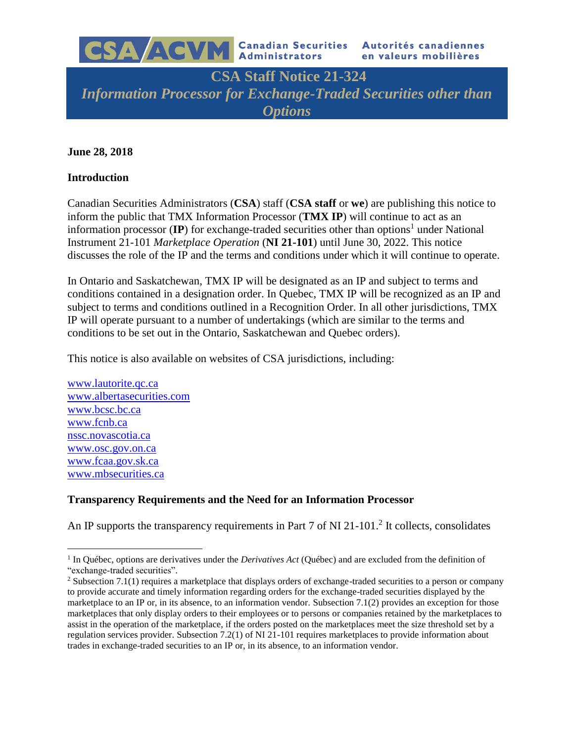

**CSA Staff Notice 21-324** *Information Processor for Exchange-Traded Securities other than Options*

#### **June 28, 2018**

#### **Introduction**

Canadian Securities Administrators (**CSA**) staff (**CSA staff** or **we**) are publishing this notice to inform the public that TMX Information Processor (**TMX IP**) will continue to act as an information processor  $(\mathbf{IP})$  for exchange-traded securities other than options<sup>1</sup> under National Instrument 21-101 *Marketplace Operation* (**NI 21-101**) until June 30, 2022. This notice discusses the role of the IP and the terms and conditions under which it will continue to operate.

In Ontario and Saskatchewan, TMX IP will be designated as an IP and subject to terms and conditions contained in a designation order. In Quebec, TMX IP will be recognized as an IP and subject to terms and conditions outlined in a Recognition Order. In all other jurisdictions, TMX IP will operate pursuant to a number of undertakings (which are similar to the terms and conditions to be set out in the Ontario, Saskatchewan and Quebec orders).

This notice is also available on websites of CSA jurisdictions, including:

[www.lautorite.qc.ca](http://www.lautorite.qc.ca/) www.albertasecurities.com [www.bcsc.bc.ca](http://www.bcsc.bc.ca/) [www.fcnb.ca](http://www.fcnb.ca/) nssc.novascotia.ca [www.osc.gov.on.ca](http://www.osc.gov.on.ca/) www.fcaa.gov.sk.ca www.mbsecurities.ca

 $\overline{a}$ 

### **Transparency Requirements and the Need for an Information Processor**

An IP supports the transparency requirements in Part  $7$  of NI 21-101.<sup>2</sup> It collects, consolidates

<sup>&</sup>lt;sup>1</sup> In Québec, options are derivatives under the *Derivatives Act* (Québec) and are excluded from the definition of "exchange-traded securities".

<sup>&</sup>lt;sup>2</sup> Subsection 7.1(1) requires a marketplace that displays orders of exchange-traded securities to a person or company to provide accurate and timely information regarding orders for the exchange-traded securities displayed by the marketplace to an IP or, in its absence, to an information vendor. Subsection 7.1(2) provides an exception for those marketplaces that only display orders to their employees or to persons or companies retained by the marketplaces to assist in the operation of the marketplace, if the orders posted on the marketplaces meet the size threshold set by a regulation services provider. Subsection 7.2(1) of NI 21-101 requires marketplaces to provide information about trades in exchange-traded securities to an IP or, in its absence, to an information vendor.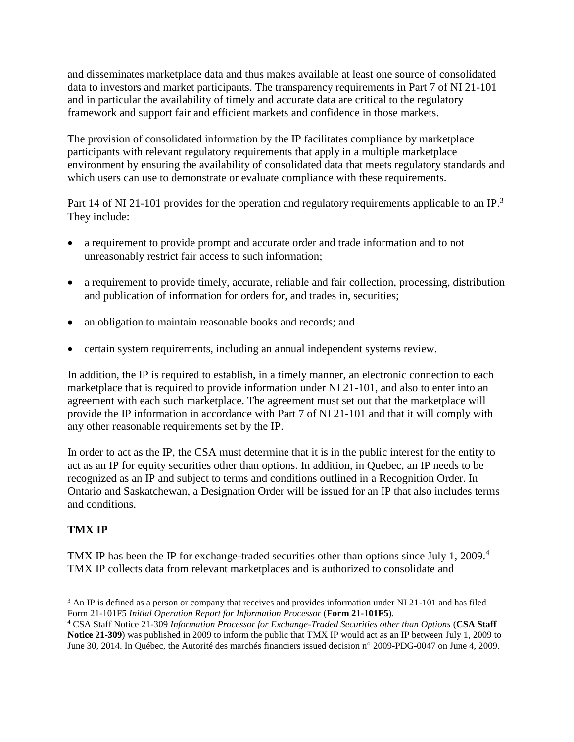and disseminates marketplace data and thus makes available at least one source of consolidated data to investors and market participants. The transparency requirements in Part 7 of NI 21-101 and in particular the availability of timely and accurate data are critical to the regulatory framework and support fair and efficient markets and confidence in those markets.

The provision of consolidated information by the IP facilitates compliance by marketplace participants with relevant regulatory requirements that apply in a multiple marketplace environment by ensuring the availability of consolidated data that meets regulatory standards and which users can use to demonstrate or evaluate compliance with these requirements.

Part 14 of NI 21-101 provides for the operation and regulatory requirements applicable to an IP.<sup>3</sup> They include:

- a requirement to provide prompt and accurate order and trade information and to not unreasonably restrict fair access to such information;
- a requirement to provide timely, accurate, reliable and fair collection, processing, distribution and publication of information for orders for, and trades in, securities;
- an obligation to maintain reasonable books and records; and
- certain system requirements, including an annual independent systems review.

In addition, the IP is required to establish, in a timely manner, an electronic connection to each marketplace that is required to provide information under NI 21-101, and also to enter into an agreement with each such marketplace. The agreement must set out that the marketplace will provide the IP information in accordance with Part 7 of NI 21-101 and that it will comply with any other reasonable requirements set by the IP.

In order to act as the IP, the CSA must determine that it is in the public interest for the entity to act as an IP for equity securities other than options. In addition, in Quebec, an IP needs to be recognized as an IP and subject to terms and conditions outlined in a Recognition Order. In Ontario and Saskatchewan, a Designation Order will be issued for an IP that also includes terms and conditions.

# **TMX IP**

TMX IP has been the IP for exchange-traded securities other than options since July 1, 2009.<sup>4</sup> TMX IP collects data from relevant marketplaces and is authorized to consolidate and

 $\overline{a}$ <sup>3</sup> An IP is defined as a person or company that receives and provides information under NI 21-101 and has filed Form 21-101F5 *Initial Operation Report for Information Processor* (**Form 21-101F5**).

<sup>4</sup> CSA Staff Notice 21-309 *Information Processor for Exchange-Traded Securities other than Options* (**CSA Staff Notice 21-309**) was published in 2009 to inform the public that TMX IP would act as an IP between July 1, 2009 to June 30, 2014. In Québec, the Autorité des marchés financiers issued decision n° 2009-PDG-0047 on June 4, 2009.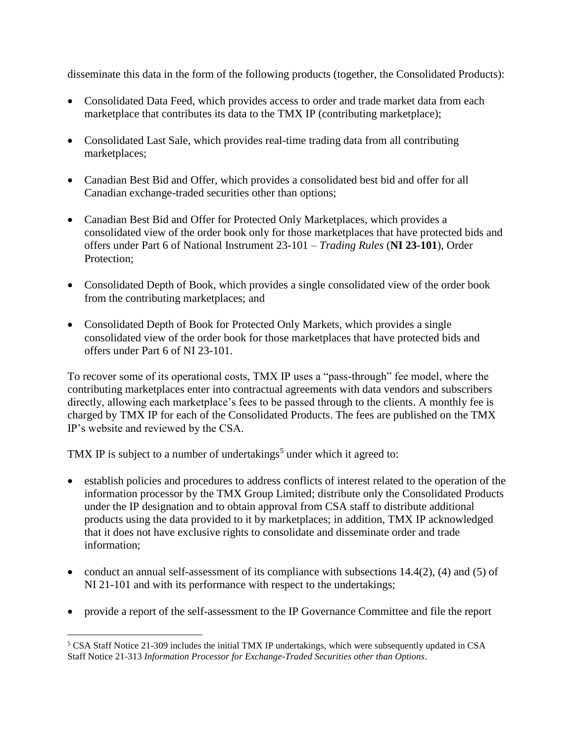disseminate this data in the form of the following products (together, the Consolidated Products):

- Consolidated Data Feed, which provides access to order and trade market data from each marketplace that contributes its data to the TMX IP (contributing marketplace);
- Consolidated Last Sale, which provides real-time trading data from all contributing marketplaces;
- Canadian Best Bid and Offer, which provides a consolidated best bid and offer for all Canadian exchange-traded securities other than options;
- Canadian Best Bid and Offer for Protected Only Marketplaces, which provides a consolidated view of the order book only for those marketplaces that have protected bids and offers under Part 6 of National Instrument 23-101 – *Trading Rules* (**NI 23-101**), Order Protection;
- Consolidated Depth of Book, which provides a single consolidated view of the order book from the contributing marketplaces; and
- Consolidated Depth of Book for Protected Only Markets, which provides a single consolidated view of the order book for those marketplaces that have protected bids and offers under Part 6 of NI 23-101.

To recover some of its operational costs, TMX IP uses a "pass-through" fee model, where the contributing marketplaces enter into contractual agreements with data vendors and subscribers directly, allowing each marketplace's fees to be passed through to the clients. A monthly fee is charged by TMX IP for each of the Consolidated Products. The fees are published on the TMX IP's website and reviewed by the CSA.

TMX IP is subject to a number of undertakings<sup>5</sup> under which it agreed to:

- establish policies and procedures to address conflicts of interest related to the operation of the information processor by the TMX Group Limited; distribute only the Consolidated Products under the IP designation and to obtain approval from CSA staff to distribute additional products using the data provided to it by marketplaces; in addition, TMX IP acknowledged that it does not have exclusive rights to consolidate and disseminate order and trade information;
- conduct an annual self-assessment of its compliance with subsections 14.4(2), (4) and (5) of NI 21-101 and with its performance with respect to the undertakings;
- provide a report of the self-assessment to the IP Governance Committee and file the report

 $\overline{a}$ <sup>5</sup> CSA Staff Notice 21-309 includes the initial TMX IP undertakings, which were subsequently updated in CSA Staff Notice 21-313 *Information Processor for Exchange-Traded Securities other than Options*.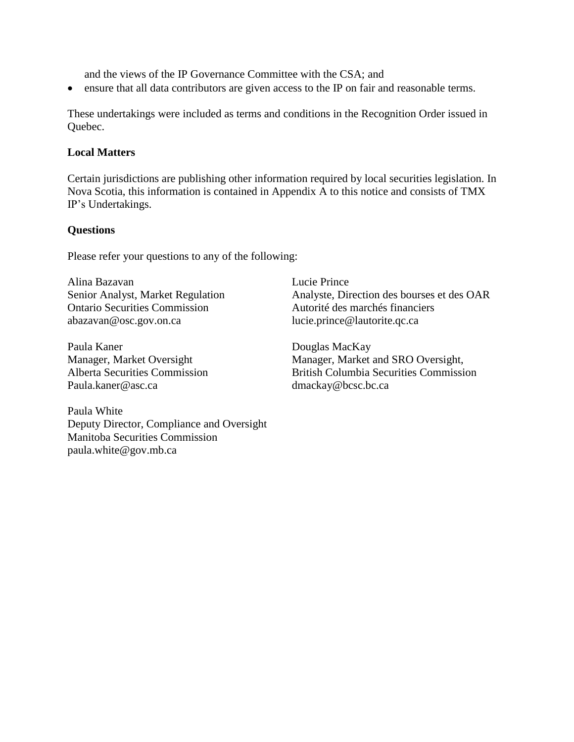and the views of the IP Governance Committee with the CSA; and

• ensure that all data contributors are given access to the IP on fair and reasonable terms.

These undertakings were included as terms and conditions in the Recognition Order issued in Quebec.

### **Local Matters**

Certain jurisdictions are publishing other information required by local securities legislation. In Nova Scotia, this information is contained in Appendix A to this notice and consists of TMX IP's Undertakings.

#### **Questions**

Please refer your questions to any of the following:

Alina Bazavan Senior Analyst, Market Regulation Ontario Securities Commission abazavan@osc.gov.on.ca

Paula Kaner Manager, Market Oversight Alberta Securities Commission Paula.kaner@asc.ca

Paula White Deputy Director, Compliance and Oversight Manitoba Securities Commission paula.white@gov.mb.ca

Lucie Prince Analyste, Direction des bourses et des OAR Autorité des marchés financiers lucie.prince@lautorite.qc.ca

Douglas MacKay Manager, Market and SRO Oversight, British Columbia Securities Commission dmackay@bcsc.bc.ca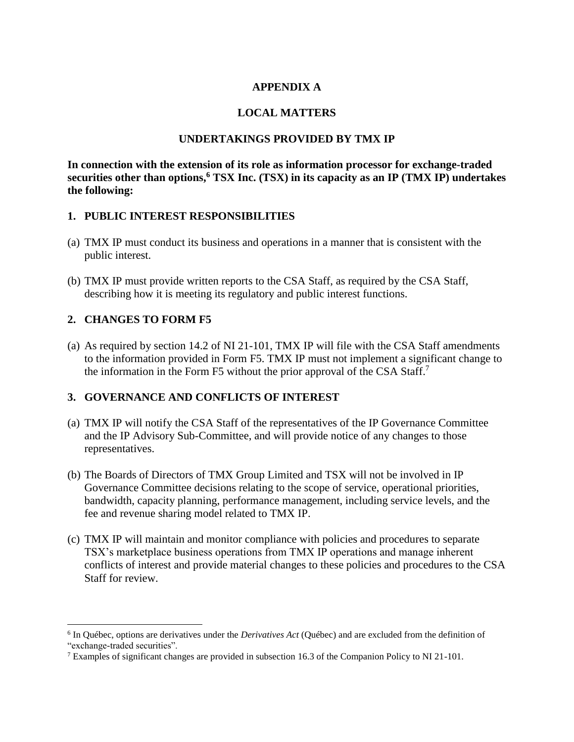#### **APPENDIX A**

### **LOCAL MATTERS**

#### **UNDERTAKINGS PROVIDED BY TMX IP**

**In connection with the extension of its role as information processor for exchange-traded securities other than options,<sup>6</sup> TSX Inc. (TSX) in its capacity as an IP (TMX IP) undertakes the following:**

#### **1. PUBLIC INTEREST RESPONSIBILITIES**

- (a) TMX IP must conduct its business and operations in a manner that is consistent with the public interest.
- (b) TMX IP must provide written reports to the CSA Staff, as required by the CSA Staff, describing how it is meeting its regulatory and public interest functions.

### **2. CHANGES TO FORM F5**

 $\overline{a}$ 

(a) As required by section 14.2 of NI 21-101, TMX IP will file with the CSA Staff amendments to the information provided in Form F5. TMX IP must not implement a significant change to the information in the Form F5 without the prior approval of the CSA Staff.<sup>7</sup>

### **3. GOVERNANCE AND CONFLICTS OF INTEREST**

- (a) TMX IP will notify the CSA Staff of the representatives of the IP Governance Committee and the IP Advisory Sub-Committee, and will provide notice of any changes to those representatives.
- (b) The Boards of Directors of TMX Group Limited and TSX will not be involved in IP Governance Committee decisions relating to the scope of service, operational priorities, bandwidth, capacity planning, performance management, including service levels, and the fee and revenue sharing model related to TMX IP.
- (c) TMX IP will maintain and monitor compliance with policies and procedures to separate TSX's marketplace business operations from TMX IP operations and manage inherent conflicts of interest and provide material changes to these policies and procedures to the CSA Staff for review.

<sup>6</sup> In Québec, options are derivatives under the *Derivatives Act* (Québec) and are excluded from the definition of "exchange-traded securities".

<sup>&</sup>lt;sup>7</sup> Examples of significant changes are provided in subsection 16.3 of the Companion Policy to NI 21-101.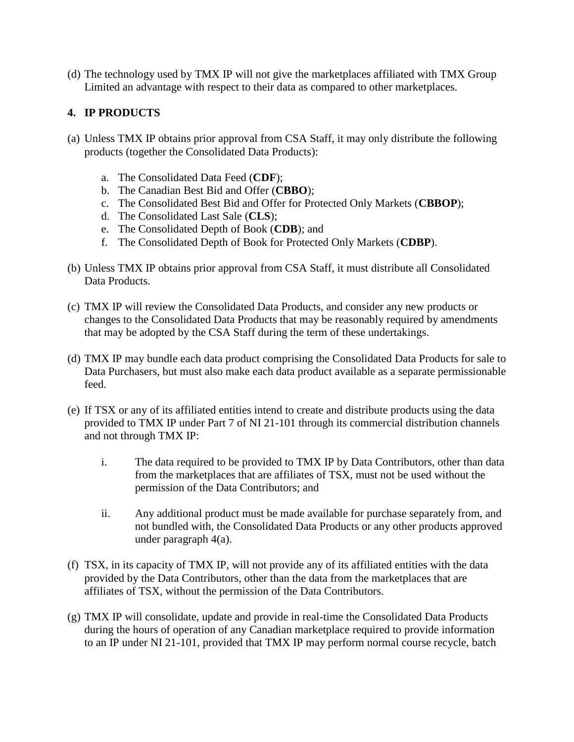(d) The technology used by TMX IP will not give the marketplaces affiliated with TMX Group Limited an advantage with respect to their data as compared to other marketplaces.

## **4. IP PRODUCTS**

- (a) Unless TMX IP obtains prior approval from CSA Staff, it may only distribute the following products (together the Consolidated Data Products):
	- a. The Consolidated Data Feed (**CDF**);
	- b. The Canadian Best Bid and Offer (**CBBO**);
	- c. The Consolidated Best Bid and Offer for Protected Only Markets (**CBBOP**);
	- d. The Consolidated Last Sale (**CLS**);
	- e. The Consolidated Depth of Book (**CDB**); and
	- f. The Consolidated Depth of Book for Protected Only Markets (**CDBP**).
- (b) Unless TMX IP obtains prior approval from CSA Staff, it must distribute all Consolidated Data Products.
- (c) TMX IP will review the Consolidated Data Products, and consider any new products or changes to the Consolidated Data Products that may be reasonably required by amendments that may be adopted by the CSA Staff during the term of these undertakings.
- (d) TMX IP may bundle each data product comprising the Consolidated Data Products for sale to Data Purchasers, but must also make each data product available as a separate permissionable feed.
- (e) If TSX or any of its affiliated entities intend to create and distribute products using the data provided to TMX IP under Part 7 of NI 21-101 through its commercial distribution channels and not through TMX IP:
	- i. The data required to be provided to TMX IP by Data Contributors, other than data from the marketplaces that are affiliates of TSX, must not be used without the permission of the Data Contributors; and
	- ii. Any additional product must be made available for purchase separately from, and not bundled with, the Consolidated Data Products or any other products approved under paragraph 4(a).
- (f) TSX, in its capacity of TMX IP, will not provide any of its affiliated entities with the data provided by the Data Contributors, other than the data from the marketplaces that are affiliates of TSX, without the permission of the Data Contributors.
- (g) TMX IP will consolidate, update and provide in real-time the Consolidated Data Products during the hours of operation of any Canadian marketplace required to provide information to an IP under NI 21-101, provided that TMX IP may perform normal course recycle, batch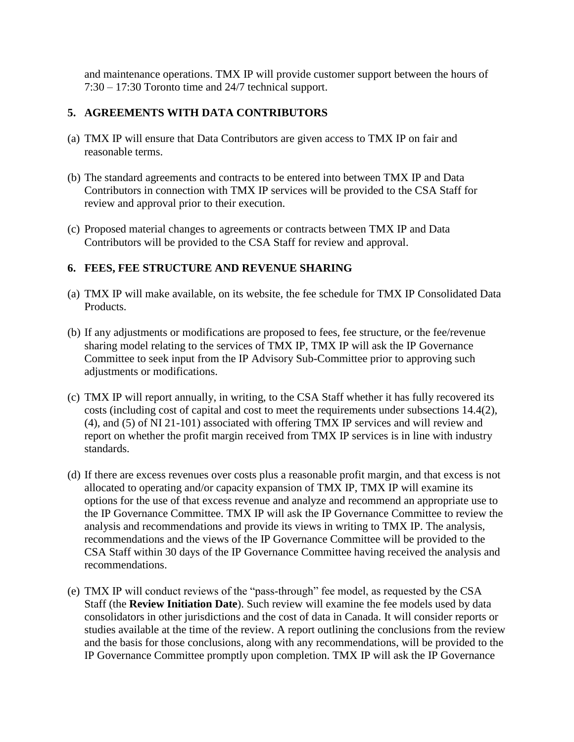and maintenance operations. TMX IP will provide customer support between the hours of 7:30 – 17:30 Toronto time and 24/7 technical support.

### **5. AGREEMENTS WITH DATA CONTRIBUTORS**

- (a) TMX IP will ensure that Data Contributors are given access to TMX IP on fair and reasonable terms.
- (b) The standard agreements and contracts to be entered into between TMX IP and Data Contributors in connection with TMX IP services will be provided to the CSA Staff for review and approval prior to their execution.
- (c) Proposed material changes to agreements or contracts between TMX IP and Data Contributors will be provided to the CSA Staff for review and approval.

## **6. FEES, FEE STRUCTURE AND REVENUE SHARING**

- (a) TMX IP will make available, on its website, the fee schedule for TMX IP Consolidated Data Products.
- (b) If any adjustments or modifications are proposed to fees, fee structure, or the fee/revenue sharing model relating to the services of TMX IP, TMX IP will ask the IP Governance Committee to seek input from the IP Advisory Sub-Committee prior to approving such adjustments or modifications.
- (c) TMX IP will report annually, in writing, to the CSA Staff whether it has fully recovered its costs (including cost of capital and cost to meet the requirements under subsections 14.4(2), (4), and (5) of NI 21-101) associated with offering TMX IP services and will review and report on whether the profit margin received from TMX IP services is in line with industry standards.
- (d) If there are excess revenues over costs plus a reasonable profit margin, and that excess is not allocated to operating and/or capacity expansion of TMX IP, TMX IP will examine its options for the use of that excess revenue and analyze and recommend an appropriate use to the IP Governance Committee. TMX IP will ask the IP Governance Committee to review the analysis and recommendations and provide its views in writing to TMX IP. The analysis, recommendations and the views of the IP Governance Committee will be provided to the CSA Staff within 30 days of the IP Governance Committee having received the analysis and recommendations.
- (e) TMX IP will conduct reviews of the "pass-through" fee model, as requested by the CSA Staff (the **Review Initiation Date**). Such review will examine the fee models used by data consolidators in other jurisdictions and the cost of data in Canada. It will consider reports or studies available at the time of the review. A report outlining the conclusions from the review and the basis for those conclusions, along with any recommendations, will be provided to the IP Governance Committee promptly upon completion. TMX IP will ask the IP Governance